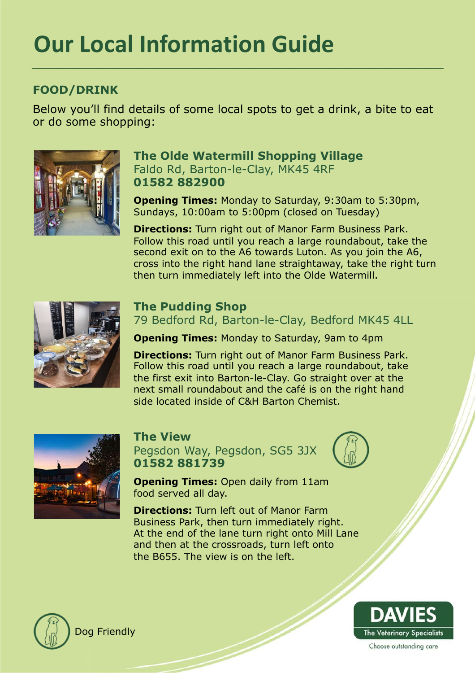# **Our Local Information Guide**

# **FOOD/DRINK**

Below you'll find details of some local spots to get a drink, a bite to eat or do some shopping:



### **The Olde Watermill Shopping Village** Faldo Rd, Barton-le-Clay, MK45 4RF **01582 882900**

**Opening Times:** Monday to Saturday, 9:30am to 5:30pm, Sundays, 10:00am to 5:00pm (closed on Tuesday)

**Directions:** Turn right out of Manor Farm Business Park. Follow this road until you reach a large roundabout, take the second exit on to the A6 towards Luton. As you join the A6, cross into the right hand lane straightaway, take the right turn then turn immediately left into the Olde Watermill.



## **The Pudding Shop**

79 Bedford Rd, Barton-le-Clay, Bedford MK45 4LL

**Opening Times:** Monday to Saturday, 9am to 4pm

**Directions:** Turn right out of Manor Farm Business Park. Follow this road until you reach a large roundabout, take the first exit into Barton-le-Clay. Go straight over at the next small roundabout and the café is on the right hand side located inside of C&H Barton Chemist.



#### **The View**

Pegsdon Way, Pegsdon, SG5 3JX **01582 881739** 



**Opening Times:** Open daily from 11am food served all day.

**Directions:** Turn left out of Manor Farm Business Park, then turn immediately right. At the end of the lane turn right onto Mill Lane and then at the crossroads, turn left onto the B655. The view is on the left.



Dog Friendly

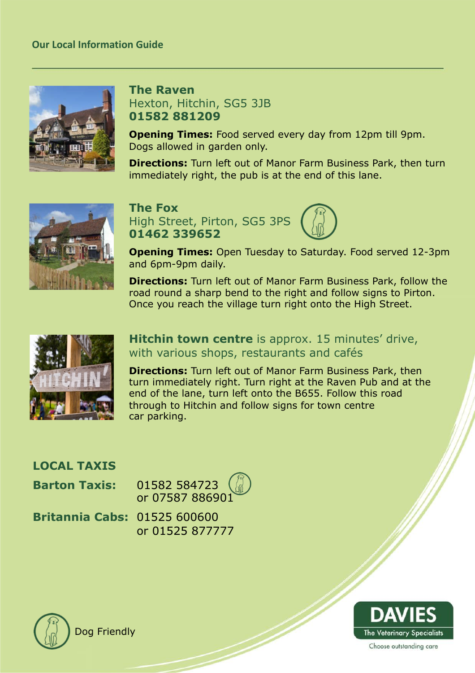

## **The Raven**  Hexton, Hitchin, SG5 3JB **01582 881209**

**Opening Times:** Food served every day from 12pm till 9pm. Dogs allowed in garden only.

**Directions:** Turn left out of Manor Farm Business Park, then turn immediately right, the pub is at the end of this lane.



**The Fox**



**Opening Times:** Open Tuesday to Saturday. Food served 12-3pm and 6pm-9pm daily.

**Directions:** Turn left out of Manor Farm Business Park, follow the road round a sharp bend to the right and follow signs to Pirton. Once you reach the village turn right onto the High Street.



**Hitchin town centre** is approx. 15 minutes' drive, with various shops, restaurants and cafés

**Directions:** Turn left out of Manor Farm Business Park, then turn immediately right. Turn right at the Raven Pub and at the end of the lane, turn left onto the B655. Follow this road through to Hitchin and follow signs for town centre car parking.

| <b>LOCAL TAXIS</b>                  |                                                                 |
|-------------------------------------|-----------------------------------------------------------------|
|                                     | <b>Barton Taxis:</b> 01582 584723 $\frac{1}{2}$ or 07587 886901 |
| <b>Britannia Cabs: 01525 600600</b> | or 01525 877777                                                 |



Dog Friendly

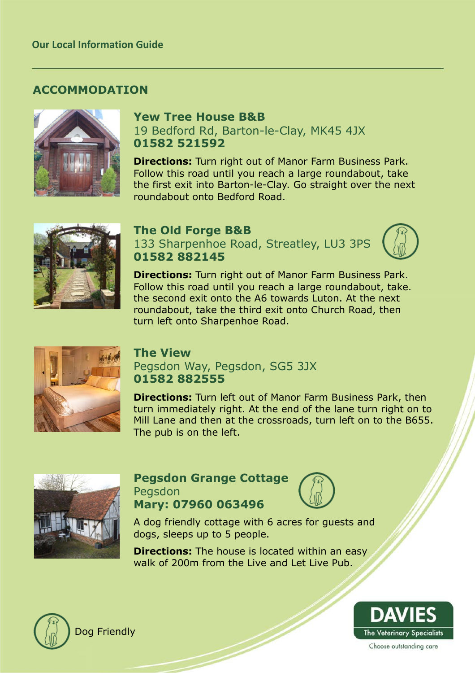## **ACCOMMODATION**



## **Yew Tree House B&B**

19 Bedford Rd, Barton-le-Clay, MK45 4JX **01582 521592** 

**Directions:** Turn right out of Manor Farm Business Park. Follow this road until you reach a large roundabout, take the first exit into Barton-le-Clay. Go straight over the next roundabout onto Bedford Road.



#### **The Old Forge B&B**

133 Sharpenhoe Road, Streatley, LU3 3PS **01582 882145** 

**Directions:** Turn right out of Manor Farm Business Park. Follow this road until you reach a large roundabout, take. the second exit onto the A6 towards Luton. At the next roundabout, take the third exit onto Church Road, then turn left onto Sharpenhoe Road.



#### **The View**

Pegsdon Way, Pegsdon, SG5 3JX **01582 882555** 

**Directions:** Turn left out of Manor Farm Business Park, then turn immediately right. At the end of the lane turn right on to Mill Lane and then at the crossroads, turn left on to the B655. The pub is on the left.



#### **Pegsdon Grange Cottage** Pegsdon **Mary: 07960 063496**



A dog friendly cottage with 6 acres for guests and dogs, sleeps up to 5 people.

**Directions:** The house is located within an easy walk of 200m from the Live and Let Live Pub.



Dog Friendly

**DAVII** The Veterinary Specialists Choose outstanding care